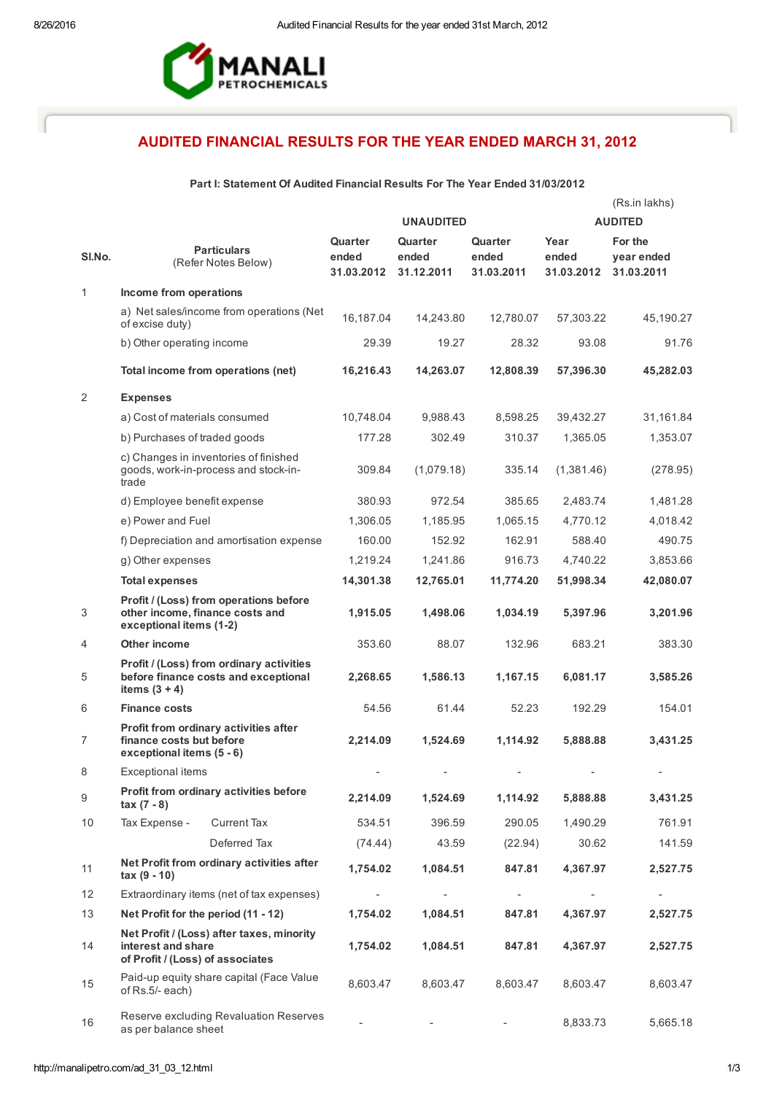

# AUDITED FINANCIAL RESULTS FOR THE YEAR ENDED MARCH 31, 2012

# Part I: Statement Of Audited Financial Results For The Year Ended 31/03/2012

|                |                                                                                                      |                                | <b>UNAUDITED</b>               |                                | (Rs.in lakhs)<br><b>AUDITED</b> |                                     |  |
|----------------|------------------------------------------------------------------------------------------------------|--------------------------------|--------------------------------|--------------------------------|---------------------------------|-------------------------------------|--|
| SI.No.         | <b>Particulars</b><br>(Refer Notes Below)                                                            | Quarter<br>ended<br>31.03.2012 | Quarter<br>ended<br>31.12.2011 | Quarter<br>ended<br>31.03.2011 | Year<br>ended<br>31.03.2012     | For the<br>year ended<br>31.03.2011 |  |
| $\mathbf{1}$   | Income from operations                                                                               |                                |                                |                                |                                 |                                     |  |
|                | a) Net sales/income from operations (Net<br>of excise duty)                                          | 16,187.04                      | 14,243.80                      | 12,780.07                      | 57,303.22                       | 45,190.27                           |  |
|                | b) Other operating income                                                                            | 29.39                          | 19.27                          | 28.32                          | 93.08                           | 91.76                               |  |
|                | Total income from operations (net)                                                                   | 16,216.43                      | 14,263.07                      | 12,808.39                      | 57,396.30                       | 45,282.03                           |  |
| 2              | <b>Expenses</b>                                                                                      |                                |                                |                                |                                 |                                     |  |
|                | a) Cost of materials consumed                                                                        | 10,748.04                      | 9,988.43                       | 8,598.25                       | 39,432.27                       | 31,161.84                           |  |
|                | b) Purchases of traded goods                                                                         | 177.28                         | 302.49                         | 310.37                         | 1,365.05                        | 1,353.07                            |  |
|                | c) Changes in inventories of finished<br>goods, work-in-process and stock-in-<br>trade               | 309.84                         | (1,079.18)                     | 335.14                         | (1,381.46)                      | (278.95)                            |  |
|                | d) Employee benefit expense                                                                          | 380.93                         | 972.54                         | 385.65                         | 2,483.74                        | 1,481.28                            |  |
|                | e) Power and Fuel                                                                                    | 1,306.05                       | 1,185.95                       | 1,065.15                       | 4,770.12                        | 4,018.42                            |  |
|                | f) Depreciation and amortisation expense                                                             | 160.00                         | 152.92                         | 162.91                         | 588.40                          | 490.75                              |  |
|                | g) Other expenses                                                                                    | 1,219.24                       | 1,241.86                       | 916.73                         | 4.740.22                        | 3,853.66                            |  |
|                | <b>Total expenses</b>                                                                                | 14,301.38                      | 12,765.01                      | 11,774.20                      | 51,998.34                       | 42,080.07                           |  |
| 3              | Profit / (Loss) from operations before<br>other income, finance costs and<br>exceptional items (1-2) | 1,915.05                       | 1,498.06                       | 1,034.19                       | 5,397.96                        | 3,201.96                            |  |
| 4              | <b>Other income</b>                                                                                  | 353.60                         | 88.07                          | 132.96                         | 683.21                          | 383.30                              |  |
| 5              | Profit / (Loss) from ordinary activities<br>before finance costs and exceptional<br>items $(3 + 4)$  | 2,268.65                       | 1,586.13                       | 1,167.15                       | 6,081.17                        | 3,585.26                            |  |
| 6              | <b>Finance costs</b>                                                                                 | 54.56                          | 61.44                          | 52.23                          | 192.29                          | 154.01                              |  |
| $\overline{7}$ | Profit from ordinary activities after<br>finance costs but before<br>exceptional items (5 - 6)       | 2,214.09                       | 1,524.69                       | 1,114.92                       | 5,888.88                        | 3,431.25                            |  |
| 8              | <b>Exceptional items</b>                                                                             |                                |                                |                                |                                 |                                     |  |
| 9              | Profit from ordinary activities before<br>$\text{tax} (7 - 8)$                                       | 2,214.09                       | 1,524.69                       | 1,114.92                       | 5,888.88                        | 3,431.25                            |  |
| 10             | <b>Current Tax</b><br>Tax Expense -                                                                  | 534.51                         | 396.59                         | 290.05                         | 1,490.29                        | 761.91                              |  |
|                | Deferred Tax                                                                                         | (74.44)                        | 43.59                          | (22.94)                        | 30.62                           | 141.59                              |  |
| 11             | Net Profit from ordinary activities after<br>$tax(9-10)$                                             | 1,754.02                       | 1,084.51                       | 847.81                         | 4,367.97                        | 2,527.75                            |  |
| 12             | Extraordinary items (net of tax expenses)                                                            |                                |                                |                                |                                 |                                     |  |
| 13             | Net Profit for the period (11 - 12)                                                                  | 1,754.02                       | 1,084.51                       | 847.81                         | 4,367.97                        | 2,527.75                            |  |
| 14             | Net Profit / (Loss) after taxes, minority<br>interest and share<br>of Profit / (Loss) of associates  | 1,754.02                       | 1,084.51                       | 847.81                         | 4,367.97                        | 2,527.75                            |  |
| 15             | Paid-up equity share capital (Face Value<br>of Rs.5/- each)                                          | 8,603.47                       | 8,603.47                       | 8,603.47                       | 8,603.47                        | 8,603.47                            |  |
| 16             | Reserve excluding Revaluation Reserves<br>as per balance sheet                                       |                                |                                |                                | 8,833.73                        | 5,665.18                            |  |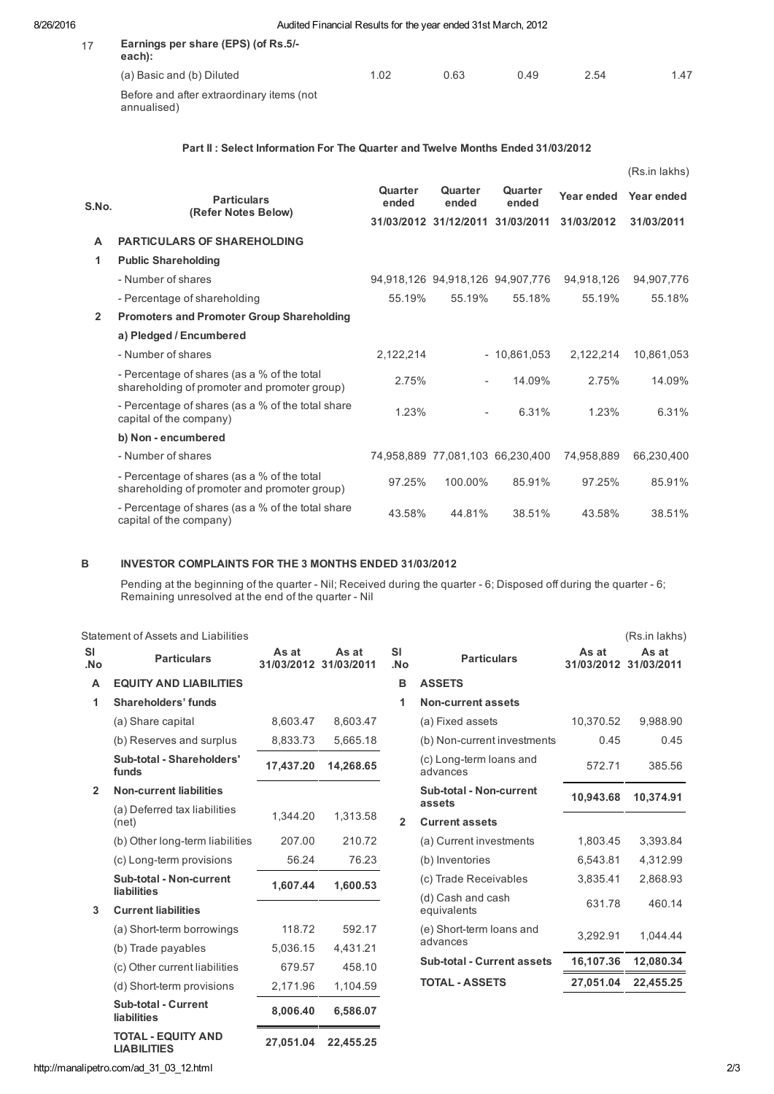| 17 | Earnings per share (EPS) (of Rs.5/-<br>each):            |      |      |      |      |      |
|----|----------------------------------------------------------|------|------|------|------|------|
|    | (a) Basic and (b) Diluted                                | 1.02 | 0.63 | 0.49 | 2.54 | 1.47 |
|    | Before and after extraordinary items (not<br>annualised) |      |      |      |      |      |

#### Part II : Select Information For The Quarter and Twelve Months Ended 31/03/2012

|                |                                                                                             |                  |                                  |                                  |            | (Rs.in lakhs) |
|----------------|---------------------------------------------------------------------------------------------|------------------|----------------------------------|----------------------------------|------------|---------------|
| S.No.          | <b>Particulars</b><br>(Refer Notes Below)                                                   | Quarter<br>ended | Quarter<br>ended                 | Quarter<br>ended                 | Year ended | Year ended    |
|                |                                                                                             |                  | 31/03/2012 31/12/2011 31/03/2011 |                                  | 31/03/2012 | 31/03/2011    |
| A              | <b>PARTICULARS OF SHAREHOLDING</b>                                                          |                  |                                  |                                  |            |               |
| 1.             | <b>Public Shareholding</b>                                                                  |                  |                                  |                                  |            |               |
|                | - Number of shares                                                                          |                  |                                  | 94,918,126 94,918,126 94,907,776 | 94,918,126 | 94,907,776    |
|                | - Percentage of shareholding                                                                | 55.19%           | 55.19%                           | 55.18%                           | 55.19%     | 55.18%        |
| $\overline{2}$ | <b>Promoters and Promoter Group Shareholding</b>                                            |                  |                                  |                                  |            |               |
|                | a) Pledged / Encumbered                                                                     |                  |                                  |                                  |            |               |
|                | - Number of shares                                                                          | 2,122,214        |                                  | $-10,861,053$                    | 2,122,214  | 10,861,053    |
|                | - Percentage of shares (as a % of the total<br>shareholding of promoter and promoter group) | 2.75%            | $\overline{\phantom{a}}$         | 14.09%                           | 2.75%      | 14.09%        |
|                | - Percentage of shares (as a % of the total share<br>capital of the company)                | 1.23%            | $\overline{\phantom{a}}$         | 6.31%                            | 1.23%      | 6.31%         |
|                | b) Non - encumbered                                                                         |                  |                                  |                                  |            |               |
|                | - Number of shares                                                                          |                  | 74,958,889 77,081,103 66,230,400 |                                  | 74.958.889 | 66.230.400    |
|                | - Percentage of shares (as a % of the total<br>shareholding of promoter and promoter group) | 97.25%           | 100.00%                          | 85.91%                           | 97.25%     | 85.91%        |
|                | - Percentage of shares (as a % of the total share<br>capital of the company)                | 43.58%           | 44.81%                           | 38.51%                           | 43.58%     | 38.51%        |

## B INVESTOR COMPLAINTS FOR THE 3 MONTHS ENDED 31/03/2012

Pending at the beginning of the quarter - Nil; Received during the quarter - 6; Disposed off during the quarter - 6; Remaining unresolved at the end of the quarter - Nil

Statement of Assets and Liabilities (Rs.in lakhs)

| <b>SI</b><br>.No | <b>Particulars</b>                              | As at<br>31/03/2012 31/03/2011 | As at     | <b>SI</b><br>.No | <b>Particulars</b>                  | As at<br>31/03/2012 31/03/2011 | As at     |
|------------------|-------------------------------------------------|--------------------------------|-----------|------------------|-------------------------------------|--------------------------------|-----------|
| A                | <b>EQUITY AND LIABILITIES</b>                   |                                |           | в                | <b>ASSETS</b>                       |                                |           |
| 1                | Shareholders' funds                             |                                |           | 1                | <b>Non-current assets</b>           |                                |           |
|                  | (a) Share capital                               | 8,603.47                       | 8,603.47  |                  | (a) Fixed assets                    | 10,370.52                      | 9,988.90  |
|                  | (b) Reserves and surplus                        | 8,833.73                       | 5,665.18  |                  | (b) Non-current investments         | 0.45                           | 0.45      |
|                  | Sub-total - Shareholders'<br>funds              | 17,437.20                      | 14,268.65 |                  | (c) Long-term loans and<br>advances | 572.71                         | 385.56    |
| $\overline{2}$   | <b>Non-current liabilities</b>                  |                                |           |                  | Sub-total - Non-current             | 10,943.68                      | 10,374.91 |
|                  | (a) Deferred tax liabilities<br>(net)           | 1,344.20                       | 1,313.58  | $\overline{2}$   | assets<br><b>Current assets</b>     |                                |           |
|                  | (b) Other long-term liabilities                 | 207.00                         | 210.72    |                  | (a) Current investments             | 1,803.45                       | 3,393.84  |
|                  | (c) Long-term provisions                        | 56.24                          | 76.23     |                  | (b) Inventories                     | 6,543.81                       | 4,312.99  |
|                  | <b>Sub-total - Non-current</b>                  | 1,607.44                       | 1,600.53  |                  | (c) Trade Receivables               | 3,835.41                       | 2,868.93  |
| 3                | liabilities<br><b>Current liabilities</b>       |                                |           |                  | (d) Cash and cash<br>equivalents    | 631.78                         | 460.14    |
|                  | (a) Short-term borrowings                       | 118.72                         | 592.17    |                  | (e) Short-term loans and            | 3.292.91                       | 1.044.44  |
|                  | (b) Trade payables                              | 5,036.15                       | 4,431.21  |                  | advances                            |                                |           |
|                  | (c) Other current liabilities                   | 679.57                         | 458.10    |                  | <b>Sub-total - Current assets</b>   | 16,107.36                      | 12,080.34 |
|                  | (d) Short-term provisions                       | 2,171.96                       | 1,104.59  |                  | <b>TOTAL - ASSETS</b>               | 27,051.04                      | 22,455.25 |
|                  | Sub-total - Current<br>liabilities              | 8,006.40                       | 6,586.07  |                  |                                     |                                |           |
|                  | <b>TOTAL - EQUITY AND</b><br><b>LIABILITIES</b> | 27,051.04                      | 22,455.25 |                  |                                     |                                |           |

http://manalipetro.com/ad\_31\_03\_12.html 2/3